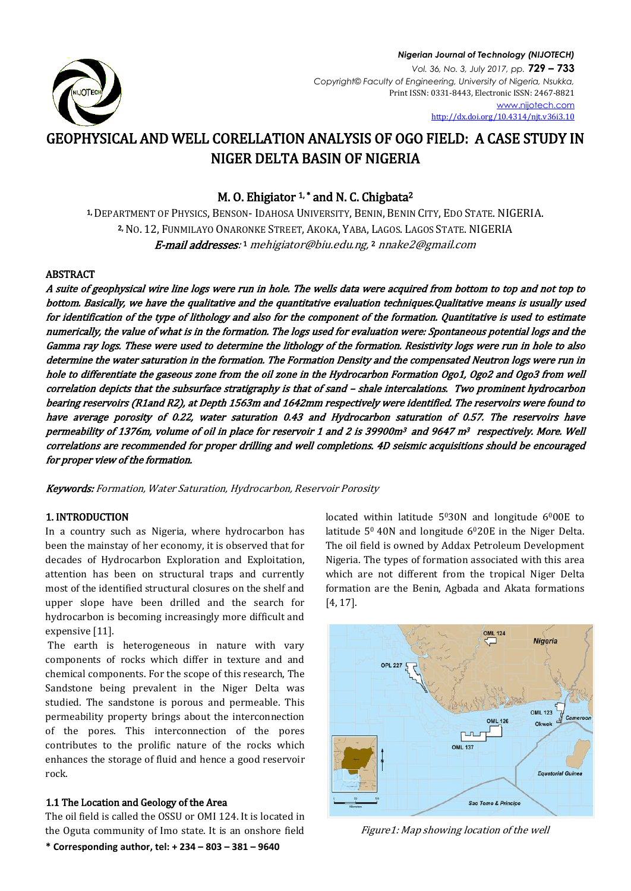

### *Nigerian Journal of Technology (NIJOTECH) Vol. 36, No. 3, July 2017, pp.* **729 – 733** *Copyright© Faculty of Engineering, University of Nigeria, Nsukka,*  Print ISSN: 0331-8443, Electronic ISSN: 2467-8821 [www.nijotech.com](http://www.nijotech.com/) <http://dx.doi.org/10.4314/njt.v36i3.10>

# GEOPHYSICAL AND WELL CORELLATION ANALYSIS OF OGO FIELD: A CASE STUDY IN NIGER DELTA BASIN OF NIGERIA

# M. O. Ehigiator  $1$ , \* and N. C. Chigbata<sup>2</sup>

1, DEPARTMENT OF PHYSICS, BENSON- IDAHOSA UNIVERSITY, BENIN, BENIN CITY, EDO STATE. NIGERIA. 2, NO. 12, FUNMILAYO ONARONKE STREET, AKOKA, YABA, LAGOS. LAGOS STATE. NIGERIA **E-mail addresses**:1 mehigiator@biu.edu.ng,2 nnake2@gmail.com

# ABSTRACT

A suite of geophysical wire line logs were run in hole. The wells data were acquired from bottom to top and not top to bottom. Basically, we have the qualitative and the quantitative evaluation techniques.Qualitative means is usually used for identification of the type of lithology and also for the component of the formation. Quantitative is used to estimate numerically, the value of what is in the formation. The logs used for evaluation were: Spontaneous potential logs and the Gamma ray logs. These were used to determine the lithology of the formation. Resistivity logs were run in hole to also determine the water saturation in the formation. The Formation Density and the compensated Neutron logs were run in hole to differentiate the gaseous zone from the oil zone in the Hydrocarbon Formation Ogo1, Ogo2 and Ogo3 from well correlation depicts that the subsurface stratigraphy is that of sand – shale intercalations. Two prominent hydrocarbon bearing reservoirs (R1and R2), at Depth 1563m and 1642mm respectively were identified. The reservoirs were found to have average porosity of 0.22, water saturation 0.43 and Hydrocarbon saturation of 0.57. The reservoirs have permeability of 1376m, volume of oil in place for reservoir 1 and 2 is 39900m<sup>3</sup> and 9647 m<sup>3</sup> respectively. More. Well correlations are recommended for proper drilling and well completions. 4D seismic acquisitions should be encouraged for proper view of the formation.

Keywords: Formation, Water Saturation, Hydrocarbon, Reservoir Porosity

### 1. INTRODUCTION

In a country such as Nigeria, where hydrocarbon has been the mainstay of her economy, it is observed that for decades of Hydrocarbon Exploration and Exploitation, attention has been on structural traps and currently most of the identified structural closures on the shelf and upper slope have been drilled and the search for hydrocarbon is becoming increasingly more difficult and expensive [11].

The earth is heterogeneous in nature with vary components of rocks which differ in texture and and chemical components. For the scope of this research, The Sandstone being prevalent in the Niger Delta was studied. The sandstone is porous and permeable. This permeability property brings about the interconnection of the pores. This interconnection of the pores contributes to the prolific nature of the rocks which enhances the storage of fluid and hence a good reservoir rock.

## 1.1 The Location and Geology of the Area

**\* Corresponding author, tel: + 234 – 803 – 381 – 9640**  The oil field is called the OSSU or OMI 124. It is located in the Oguta community of Imo state. It is an onshore field located within latitude  $5^030N$  and longitude  $6^000E$  to latitude 5<sup>0</sup> 40N and longitude 6<sup>0</sup>20E in the Niger Delta. The oil field is owned by Addax Petroleum Development Nigeria. The types of formation associated with this area which are not different from the tropical Niger Delta formation are the Benin, Agbada and Akata formations [4, 17].



Figure1: Map showing location of the well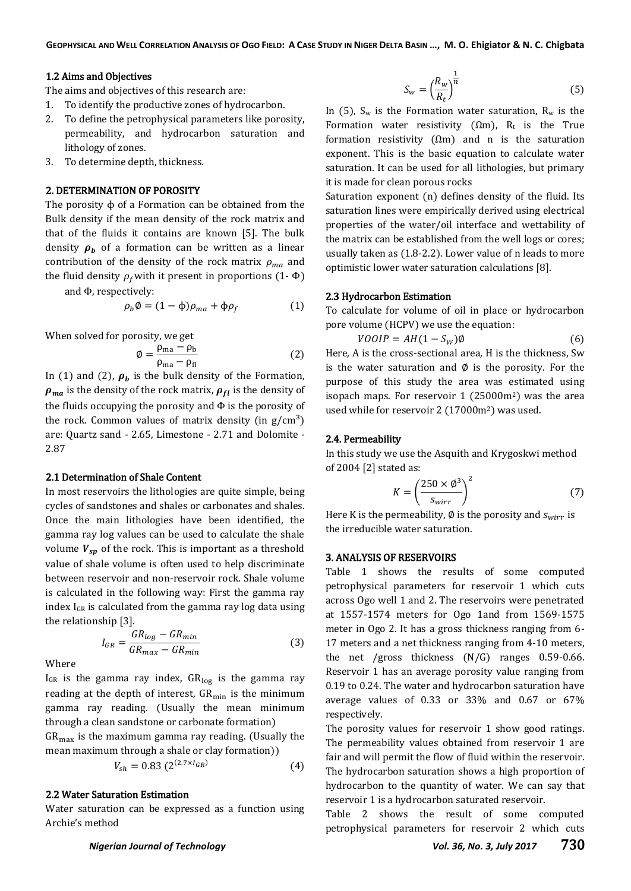#### 1.2 Aims and Objectives

The aims and objectives of this research are:

- 1. To identify the productive zones of hydrocarbon.
- 2. To define the petrophysical parameters like porosity, permeability, and hydrocarbon saturation and lithology of zones.
- 3. To determine depth, thickness.

### 2. DETERMINATION OF POROSITY

The porosity ɸ of a Formation can be obtained from the Bulk density if the mean density of the rock matrix and that of the fluids it contains are known [5]. The bulk density  $\rho_h$  of a formation can be written as a linear contribution of the density of the rock matrix  $\rho_{ma}$  and the fluid density  $\rho_f$  with it present in proportions (1- $\Phi$ )

and Φ, respectively:

$$
\rho_b \emptyset = (1 - \phi)\rho_{ma} + \phi \rho_f \tag{1}
$$

When solved for porosity, we get

Ø

$$
=\frac{\rho_{\text{ma}}-\rho_{\text{b}}}{\rho_{\text{ma}}-\rho_{\text{fl}}}\tag{2}
$$

In (1) and (2),  $\rho_b$  is the bulk density of the Formation,  $\rho_{ma}$  is the density of the rock matrix,  $\rho_{fl}$  is the density of the fluids occupying the porosity and Φ is the porosity of the rock. Common values of matrix density (in  $g/cm<sup>3</sup>$ ) are: Quartz sand - 2.65, Limestone - 2.71 and Dolomite - 2.87

#### 2.1 Determination of Shale Content

In most reservoirs the lithologies are quite simple, being cycles of sandstones and shales or carbonates and shales. Once the main lithologies have been identified, the gamma ray log values can be used to calculate the shale volume  $V_{sp}$  of the rock. This is important as a threshold value of shale volume is often used to help discriminate between reservoir and non-reservoir rock. Shale volume is calculated in the following way: First the gamma ray index  $I_{GR}$  is calculated from the gamma ray log data using the relationship [3].

Where

 $I_{GR}$  is the gamma ray index,  $GR_{log}$  is the gamma ray reading at the depth of interest,  $GR_{min}$  is the minimum gamma ray reading. (Usually the mean minimum through a clean sandstone or carbonate formation)

 $GR_{\text{max}}$  is the maximum gamma ray reading. (Usually the mean maximum through a shale or clay formation))

$$
V_{sh} = 0.83 \ (2^{(2.7 \times I_{GR})}) \tag{4}
$$

#### 2.2 Water Saturation Estimation

 $I_{GR} = \frac{G}{C}$ G

Water saturation can be expressed as a function using Archie's method

$$
S_w = \left(\frac{R_w}{R_t}\right)^{\frac{1}{n}}\tag{5}
$$

In (5),  $S_w$  is the Formation water saturation,  $R_w$  is the Formation water resistivity ( $\Omega$ m), R<sub>t</sub> is the True formation resistivity  $(\Omega m)$  and n is the saturation exponent. This is the basic equation to calculate water saturation. It can be used for all lithologies, but primary it is made for clean porous rocks

Saturation exponent (n) defines density of the fluid. Its saturation lines were empirically derived using electrical properties of the water/oil interface and wettability of the matrix can be established from the well logs or cores; usually taken as (1.8-2.2). Lower value of n leads to more optimistic lower water saturation calculations [8].

#### 2.3 Hydrocarbon Estimation

To calculate for volume of oil in place or hydrocarbon pore volume (HCPV) we use the equation:

$$
VOOIP = AH(1 - S_W)\emptyset
$$
\n(6)

Here, A is the cross-sectional area, H is the thickness, Sw is the water saturation and  $\phi$  is the porosity. For the purpose of this study the area was estimated using isopach maps. For reservoir  $1$  (25000m<sup>2</sup>) was the area used while for reservoir 2 (17000m2) was used.

#### 2.4. Permeability

 $(3)$ 

In this study we use the Asquith and Krygoskwi method of 2004 [2] stated as:

$$
K = \left(\frac{250 \times \phi^3}{s_{wirr}}\right)^2 \tag{7}
$$

Here K is the permeability, Ø is the porosity and  $s_{wirr}$  is the irreducible water saturation.

#### 3. ANALYSIS OF RESERVOIRS

Table 1 shows the results of some computed petrophysical parameters for reservoir 1 which cuts across Ogo well 1 and 2. The reservoirs were penetrated at 1557-1574 meters for Ogo 1and from 1569-1575 meter in Ogo 2. It has a gross thickness ranging from 6- 17 meters and a net thickness ranging from 4-10 meters, the net /gross thickness (N/G) ranges 0.59-0.66. Reservoir 1 has an average porosity value ranging from 0.19 to 0.24. The water and hydrocarbon saturation have average values of 0.33 or 33% and 0.67 or 67% respectively.

The porosity values for reservoir 1 show good ratings. The permeability values obtained from reservoir 1 are fair and will permit the flow of fluid within the reservoir. The hydrocarbon saturation shows a high proportion of hydrocarbon to the quantity of water. We can say that reservoir 1 is a hydrocarbon saturated reservoir.

Table 2 shows the result of some computed petrophysical parameters for reservoir 2 which cuts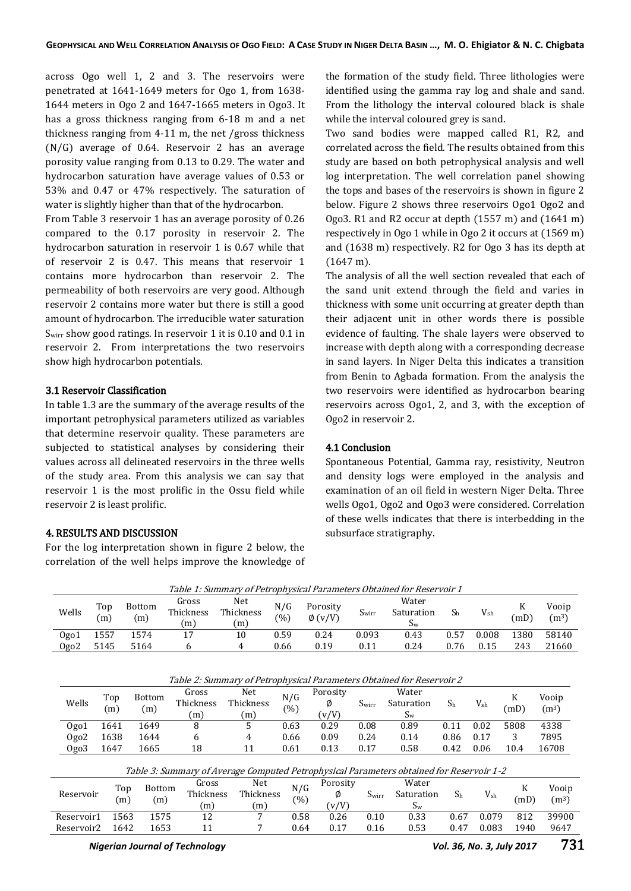across Ogo well 1, 2 and 3. The reservoirs were penetrated at 1641-1649 meters for Ogo 1, from 1638- 1644 meters in Ogo 2 and 1647-1665 meters in Ogo3. It has a gross thickness ranging from 6-18 m and a net thickness ranging from 4-11 m, the net /gross thickness (N/G) average of 0.64. Reservoir 2 has an average porosity value ranging from 0.13 to 0.29. The water and hydrocarbon saturation have average values of 0.53 or 53% and 0.47 or 47% respectively. The saturation of water is slightly higher than that of the hydrocarbon.

From Table 3 reservoir 1 has an average porosity of 0.26 compared to the 0.17 porosity in reservoir 2. The hydrocarbon saturation in reservoir 1 is 0.67 while that of reservoir 2 is 0.47. This means that reservoir 1 contains more hydrocarbon than reservoir 2. The permeability of both reservoirs are very good. Although reservoir 2 contains more water but there is still a good amount of hydrocarbon. The irreducible water saturation Swirr show good ratings. In reservoir 1 it is 0.10 and 0.1 in reservoir 2. From interpretations the two reservoirs show high hydrocarbon potentials.

#### 3.1 Reservoir Classification

In table 1.3 are the summary of the average results of the important petrophysical parameters utilized as variables that determine reservoir quality. These parameters are subjected to statistical analyses by considering their values across all delineated reservoirs in the three wells of the study area. From this analysis we can say that reservoir 1 is the most prolific in the Ossu field while reservoir 2 is least prolific.

### 4. RESULTS AND DISCUSSION

For the log interpretation shown in figure 2 below, the correlation of the well helps improve the knowledge of the formation of the study field. Three lithologies were identified using the gamma ray log and shale and sand. From the lithology the interval coloured black is shale while the interval coloured grey is sand.

Two sand bodies were mapped called R1, R2, and correlated across the field. The results obtained from this study are based on both petrophysical analysis and well log interpretation. The well correlation panel showing the tops and bases of the reservoirs is shown in figure 2 below. Figure 2 shows three reservoirs Ogo1 Ogo2 and Ogo3. R1 and R2 occur at depth (1557 m) and (1641 m) respectively in Ogo 1 while in Ogo 2 it occurs at (1569 m) and (1638 m) respectively. R2 for Ogo 3 has its depth at (1647 m).

The analysis of all the well section revealed that each of the sand unit extend through the field and varies in thickness with some unit occurring at greater depth than their adjacent unit in other words there is possible evidence of faulting. The shale layers were observed to increase with depth along with a corresponding decrease in sand layers. In Niger Delta this indicates a transition from Benin to Agbada formation. From the analysis the two reservoirs were identified as hydrocarbon bearing reservoirs across Ogo1, 2, and 3, with the exception of Ogo2 in reservoir 2.

#### 4.1 Conclusion

Spontaneous Potential, Gamma ray, resistivity, Neutron and density logs were employed in the analysis and examination of an oil field in western Niger Delta. Three wells Ogo1, Ogo2 and Ogo3 were considered. Correlation of these wells indicates that there is interbedding in the subsurface stratigraphy.

| Table 1: Summary of Petrophysical Parameters Obtained for Reservoir 1                    |            |                                    |                           |                         |               |                          |                   |                                |                |              |           |                            |
|------------------------------------------------------------------------------------------|------------|------------------------------------|---------------------------|-------------------------|---------------|--------------------------|-------------------|--------------------------------|----------------|--------------|-----------|----------------------------|
| Wells                                                                                    | Top<br>(m) | <b>Bottom</b><br>(m)               | Gross<br>Thickness<br>(m) | Net<br>Thickness<br>(m) | N/G<br>$(\%)$ | Porosity<br>$\phi$ (v/V) | S <sub>wirr</sub> | Water<br>Saturation<br>$S_{w}$ | S <sub>h</sub> | $V_{\rm sh}$ | K<br>(mD) | Vooip<br>(m <sup>3</sup> ) |
| Ogo1                                                                                     | 1557       | 1574                               | 17                        | 10                      | 0.59          | 0.24                     | 0.093             | 0.43                           | 0.57           | 0.008        | 1380      | 58140                      |
| Ogo2                                                                                     | 5145       | 5164                               | 6                         | 4                       | 0.66          | 0.19                     | 0.11              | 0.24                           | 0.76           | 0.15         | 243       | 21660                      |
| Table 2: Summary of Petrophysical Parameters Obtained for Reservoir 2                    |            |                                    |                           |                         |               |                          |                   |                                |                |              |           |                            |
| Wells                                                                                    | Top<br>(m) | <b>Bottom</b><br>(m)               | Gross<br>Thickness<br>(m) | Net<br>Thickness<br>(m) | N/G<br>(%)    | Porosity<br>Ø<br>(v/V)   | S <sub>wirr</sub> | Water<br>Saturation<br>$S_{w}$ | S <sub>h</sub> | $V_{\rm sh}$ | K<br>(mD) | Vooip<br>(m <sup>3</sup> ) |
| Ogo1                                                                                     | 1641       | 1649                               | 8                         | 5                       | 0.63          | 0.29                     | 0.08              | 0.89                           | 0.11           | 0.02         | 5808      | 4338                       |
| Ogo <sub>2</sub>                                                                         | 1638       | 1644                               | 6                         | 4                       | 0.66          | 0.09                     | 0.24              | 0.14                           | 0.86           | 0.17         | 3         | 7895                       |
| Ogo3                                                                                     | 1647       | 1665                               | 18                        | 11                      | 0.61          | 0.13                     | 0.17              | 0.58                           | 0.42           | 0.06         | 10.4      | 16708                      |
| Table 3: Summary of Average Computed Petrophysical Parameters obtained for Reservoir 1-2 |            |                                    |                           |                         |               |                          |                   |                                |                |              |           |                            |
| Reservoir                                                                                |            | Top<br><b>Bottom</b><br>(m)<br>(m) | Gross<br>Thickness<br>(m) | Net<br>Thickness<br>(m) | N/G<br>(%)    | Porosity<br>Ø<br>(v/V)   | Swirr             | Water<br>Saturation<br>$S_{w}$ | S <sub>h</sub> | $V_{\rm sh}$ | K<br>(mD) | Vooip<br>(m <sup>3</sup> ) |
| Reservoir1                                                                               |            | 1563<br>1575                       | 12                        | 7                       | 0.58          | 0.26                     | 0.10              | 0.33                           | 0.67           | 0.079        | 812       | 39900                      |
| Reservoir2                                                                               |            | 1642<br>1653                       | 11                        |                         | 0.64          | 0.17                     | 0.16              | 0.53                           | 0.47           | 0.083        | 1940      | 9647                       |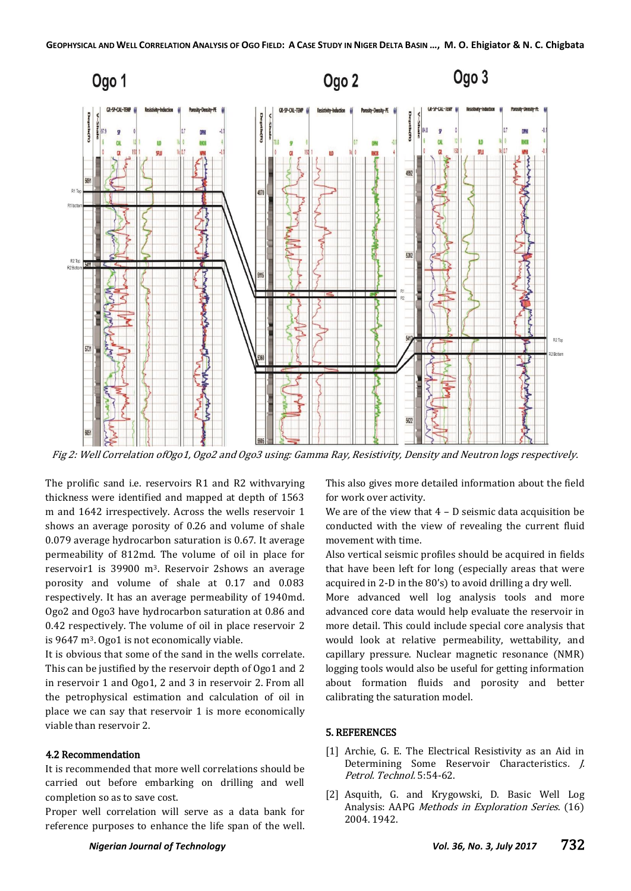

Fig 2: Well Correlation ofOgo1, Ogo2 and Ogo3 using: Gamma Ray, Resistivity, Density and Neutron logs respectively.

The prolific sand i.e. reservoirs R1 and R2 withvarying thickness were identified and mapped at depth of 1563 m and 1642 irrespectively. Across the wells reservoir 1 shows an average porosity of 0.26 and volume of shale 0.079 average hydrocarbon saturation is 0.67. It average permeability of 812md. The volume of oil in place for reservoir1 is 39900 m3. Reservoir 2shows an average porosity and volume of shale at 0.17 and 0.083 respectively. It has an average permeability of 1940md. Ogo2 and Ogo3 have hydrocarbon saturation at 0.86 and 0.42 respectively. The volume of oil in place reservoir 2 is 9647 m<sup>3</sup>. Ogo1 is not economically viable.

It is obvious that some of the sand in the wells correlate. This can be justified by the reservoir depth of Ogo1 and 2 in reservoir 1 and Ogo1, 2 and 3 in reservoir 2. From all the petrophysical estimation and calculation of oil in place we can say that reservoir 1 is more economically viable than reservoir 2.

### 4.2 Recommendation

It is recommended that more well correlations should be carried out before embarking on drilling and well completion so as to save cost.

Proper well correlation will serve as a data bank for reference purposes to enhance the life span of the well.

This also gives more detailed information about the field for work over activity.

We are of the view that  $4 - D$  seismic data acquisition be conducted with the view of revealing the current fluid movement with time.

Also vertical seismic profiles should be acquired in fields that have been left for long (especially areas that were acquired in 2-D in the  $80's$ ) to avoid drilling a dry well.

More advanced well log analysis tools and more advanced core data would help evaluate the reservoir in more detail. This could include special core analysis that would look at relative permeability, wettability, and capillary pressure. Nuclear magnetic resonance (NMR) logging tools would also be useful for getting information about formation fluids and porosity and better calibrating the saturation model.

#### 5. REFERENCES

- [1] Archie, G. E. The Electrical Resistivity as an Aid in Determining Some Reservoir Characteristics. J. Petrol. Technol. 5:54-62.
- [2] Asquith, G. and Krygowski, D. Basic Well Log Analysis: AAPG Methods in Exploration Series. (16) 2004. 1942.